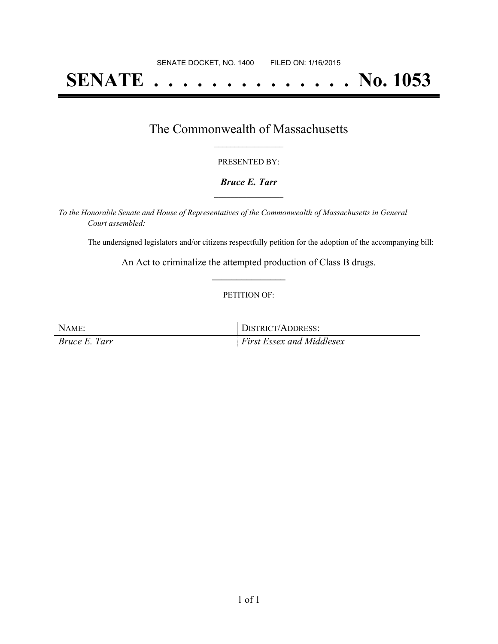# **SENATE . . . . . . . . . . . . . . No. 1053**

## The Commonwealth of Massachusetts **\_\_\_\_\_\_\_\_\_\_\_\_\_\_\_\_\_**

#### PRESENTED BY:

#### *Bruce E. Tarr* **\_\_\_\_\_\_\_\_\_\_\_\_\_\_\_\_\_**

*To the Honorable Senate and House of Representatives of the Commonwealth of Massachusetts in General Court assembled:*

The undersigned legislators and/or citizens respectfully petition for the adoption of the accompanying bill:

An Act to criminalize the attempted production of Class B drugs. **\_\_\_\_\_\_\_\_\_\_\_\_\_\_\_**

#### PETITION OF:

| NAME:                | DISTRICT/ADDRESS:                |
|----------------------|----------------------------------|
| <i>Bruce E. Tarr</i> | <i>First Essex and Middlesex</i> |